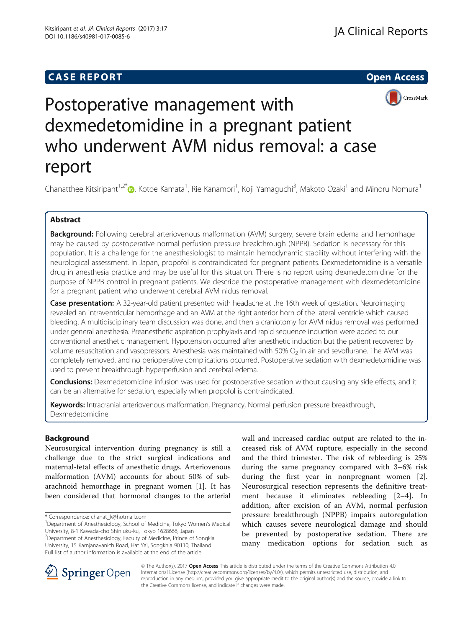# **CASE REPORT And SERVICE SERVICE SERVICE SERVICE SERVICE SERVICE SERVICE SERVICE SERVICE SERVICE SERVICE SERVICE**





# Postoperative management with dexmedetomidine in a pregnant patient who underwent AVM nidus removal: a case report

Chanatthee Kitsiripant<sup>1,2\*</sup>®, Kotoe Kamata<sup>1</sup>, Rie Kanamori<sup>1</sup>, Koji Yamaguchi<sup>3</sup>, Makoto Ozaki<sup>1</sup> and Minoru Nomura<sup>1</sup>

# Abstract

Background: Following cerebral arteriovenous malformation (AVM) surgery, severe brain edema and hemorrhage may be caused by postoperative normal perfusion pressure breakthrough (NPPB). Sedation is necessary for this population. It is a challenge for the anesthesiologist to maintain hemodynamic stability without interfering with the neurological assessment. In Japan, propofol is contraindicated for pregnant patients. Dexmedetomidine is a versatile drug in anesthesia practice and may be useful for this situation. There is no report using dexmedetomidine for the purpose of NPPB control in pregnant patients. We describe the postoperative management with dexmedetomidine for a pregnant patient who underwent cerebral AVM nidus removal.

Case presentation: A 32-year-old patient presented with headache at the 16th week of gestation. Neuroimaging revealed an intraventricular hemorrhage and an AVM at the right anterior horn of the lateral ventricle which caused bleeding. A multidisciplinary team discussion was done, and then a craniotomy for AVM nidus removal was performed under general anesthesia. Preanesthetic aspiration prophylaxis and rapid sequence induction were added to our conventional anesthetic management. Hypotension occurred after anesthetic induction but the patient recovered by volume resuscitation and vasopressors. Anesthesia was maintained with 50%  $O_2$  in air and sevoflurane. The AVM was completely removed, and no perioperative complications occurred. Postoperative sedation with dexmedetomidine was used to prevent breakthrough hyperperfusion and cerebral edema.

Conclusions: Dexmedetomidine infusion was used for postoperative sedation without causing any side effects, and it can be an alternative for sedation, especially when propofol is contraindicated.

Keywords: Intracranial arteriovenous malformation, Pregnancy, Normal perfusion pressure breakthrough, Dexmedetomidine

# Background

Neurosurgical intervention during pregnancy is still a challenge due to the strict surgical indications and maternal-fetal effects of anesthetic drugs. Arteriovenous malformation (AVM) accounts for about 50% of subarachnoid hemorrhage in pregnant women [[1\]](#page-2-0). It has been considered that hormonal changes to the arterial

University, 15 Karnjanavanich Road, Hat Yai, Songkhla 90110, Thailand Full list of author information is available at the end of the article

wall and increased cardiac output are related to the increased risk of AVM rupture, especially in the second and the third trimester. The risk of rebleeding is 25% during the same pregnancy compared with 3–6% risk during the first year in nonpregnant women [\[2](#page-2-0)]. Neurosurgical resection represents the definitive treatment because it eliminates rebleeding [\[2](#page-2-0)–[4](#page-2-0)]. In addition, after excision of an AVM, normal perfusion pressure breakthrough (NPPB) impairs autoregulation which causes severe neurological damage and should be prevented by postoperative sedation. There are many medication options for sedation such as



© The Author(s). 2017 Open Access This article is distributed under the terms of the Creative Commons Attribution 4.0 International License ([http://creativecommons.org/licenses/by/4.0/\)](http://creativecommons.org/licenses/by/4.0/), which permits unrestricted use, distribution, and reproduction in any medium, provided you give appropriate credit to the original author(s) and the source, provide a link to the Creative Commons license, and indicate if changes were made.

<sup>\*</sup> Correspondence: [chanat\\_k@hotmail.com](mailto:chanat_k@hotmail.com) <sup>1</sup>

Department of Anesthesiology, School of Medicine, Tokyo Women's Medical University, 8-1 Kawada-cho Shinjuku-ku, Tokyo 1628666, Japan <sup>2</sup> Department of Anesthesiology, Faculty of Medicine, Prince of Songkla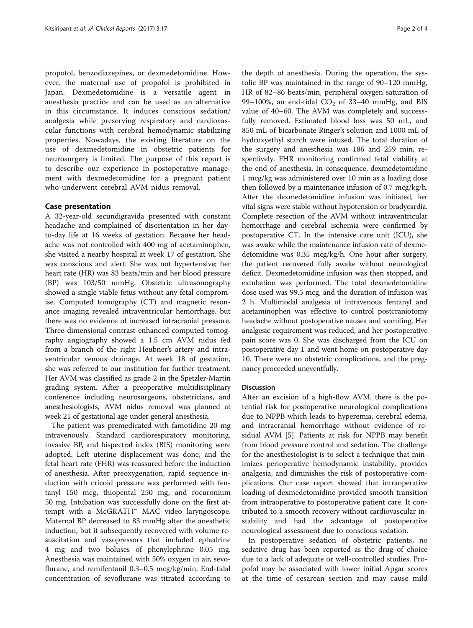propofol, benzodiazepines, or dexmedetomidine. However, the maternal use of propofol is prohibited in Japan. Dexmedetomidine is a versatile agent in anesthesia practice and can be used as an alternative in this circumstance. It induces conscious sedation/ analgesia while preserving respiratory and cardiovascular functions with cerebral hemodynamic stabilizing properties. Nowadays, the existing literature on the use of dexmedetomidine in obstetric patients for neurosurgery is limited. The purpose of this report is to describe our experience in postoperative management with dexmedetomidine for a pregnant patient who underwent cerebral AVM nidus removal.

# Case presentation

A 32-year-old secundigravida presented with constant headache and complained of disorientation in her dayto-day life at 16 weeks of gestation. Because her headache was not controlled with 400 mg of acetaminophen, she visited a nearby hospital at week 17 of gestation. She was conscious and alert. She was not hypertensive; her heart rate (HR) was 83 beats/min and her blood pressure (BP) was 103/50 mmHg. Obstetric ultrasonography showed a single viable fetus without any fetal compromise. Computed tomography (CT) and magnetic resonance imaging revealed intraventricular hemorrhage, but there was no evidence of increased intracranial pressure. Three-dimensional contrast-enhanced computed tomography angiography showed a 1.5 cm AVM nidus fed from a branch of the right Heubner's artery and intraventricular venous drainage. At week 18 of gestation, she was referred to our institution for further treatment. Her AVM was classified as grade 2 in the Spetzler-Martin grading system. After a preoperative multidisciplinary conference including neurosurgeons, obstetricians, and anesthesiologists, AVM nidus removal was planned at week 21 of gestational age under general anesthesia.

The patient was premedicated with famotidine 20 mg intravenously. Standard cardiorespiratory monitoring, invasive BP, and bispectral index (BIS) monitoring were adopted. Left uterine displacement was done, and the fetal heart rate (FHR) was reassured before the induction of anesthesia. After preoxygenation, rapid sequence induction with cricoid pressure was performed with fentanyl 150 mcg, thiopental 250 mg, and rocuronium 50 mg. Intubation was successfully done on the first attempt with a McGRATH™ MAC video laryngoscope. Maternal BP decreased to 83 mmHg after the anesthetic induction, but it subsequently recovered with volume resuscitation and vasopressors that included ephedrine 4 mg and two boluses of phenylephrine 0.05 mg. Anesthesia was maintained with 50% oxygen in air, sevoflurane, and remifentanil 0.3–0.5 mcg/kg/min. End-tidal concentration of sevoflurane was titrated according to

the depth of anesthesia. During the operation, the systolic BP was maintained in the range of 90–120 mmHg, HR of 82–86 beats/min, peripheral oxygen saturation of 99–100%, an end-tidal  $CO<sub>2</sub>$  of 33–40 mmHg, and BIS value of 40–60. The AVM was completely and successfully removed. Estimated blood loss was 50 mL, and 850 mL of bicarbonate Ringer's solution and 1000 mL of hydroxyethyl starch were infused. The total duration of the surgery and anesthesia was 186 and 259 min, respectively. FHR monitoring confirmed fetal viability at the end of anesthesia. In consequence, dexmedetomidine 1 mcg/kg was administered over 10 min as a loading dose then followed by a maintenance infusion of 0.7 mcg/kg/h. After the dexmedetomidine infusion was initiated, her vital signs were stable without hypotension or bradycardia. Complete resection of the AVM without intraventricular hemorrhage and cerebral ischemia were confirmed by postoperative CT. In the intensive care unit (ICU), she was awake while the maintenance infusion rate of dexmedetomidine was 0.35 mcg/kg/h. One hour after surgery, the patient recovered fully awake without neurological deficit. Dexmedetomidine infusion was then stopped, and extubation was performed. The total dexmedetomidine dose used was 99.5 mcg, and the duration of infusion was 2 h. Multimodal analgesia of intravenous fentanyl and acetaminophen was effective to control postcraniotomy headache without postoperative nausea and vomiting. Her analgesic requirement was reduced, and her postoperative pain score was 0. She was discharged from the ICU on postoperative day 1 and went home on postoperative day 10. There were no obstetric complications, and the pregnancy proceeded uneventfully.

### Discussion

After an excision of a high-flow AVM, there is the potential risk for postoperative neurological complications due to NPPB which leads to hyperemia, cerebral edema, and intracranial hemorrhage without evidence of residual AVM [\[5](#page-2-0)]. Patients at risk for NPPB may benefit from blood pressure control and sedation. The challenge for the anesthesiologist is to select a technique that minimizes perioperative hemodynamic instability, provides analgesia, and diminishes the risk of postoperative complications. Our case report showed that intraoperative loading of dexmedetomidine provided smooth transition from intraoperative to postoperative patient care. It contributed to a smooth recovery without cardiovascular instability and had the advantage of postoperative neurological assessment due to conscious sedation.

In postoperative sedation of obstetric patients, no sedative drug has been reported as the drug of choice due to a lack of adequate or well-controlled studies. Propofol may be associated with lower initial Apgar scores at the time of cesarean section and may cause mild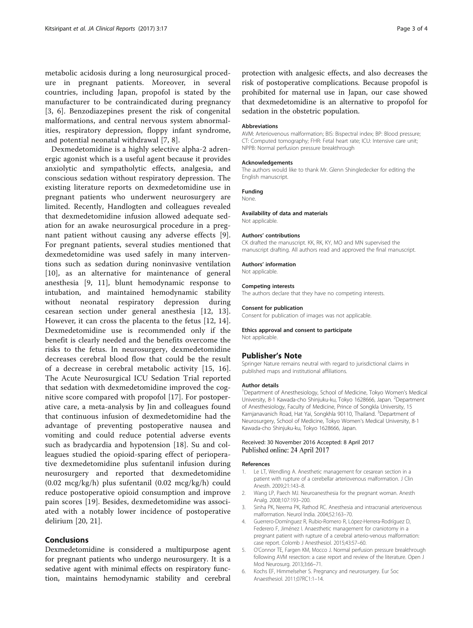<span id="page-2-0"></span>metabolic acidosis during a long neurosurgical procedure in pregnant patients. Moreover, in several countries, including Japan, propofol is stated by the manufacturer to be contraindicated during pregnancy [3, 6]. Benzodiazepines present the risk of congenital malformations, and central nervous system abnormalities, respiratory depression, floppy infant syndrome, and potential neonatal withdrawal [[7, 8](#page-3-0)].

Dexmedetomidine is a highly selective alpha-2 adrenergic agonist which is a useful agent because it provides anxiolytic and sympatholytic effects, analgesia, and conscious sedation without respiratory depression. The existing literature reports on dexmedetomidine use in pregnant patients who underwent neurosurgery are limited. Recently, Handlogten and colleagues revealed that dexmedetomidine infusion allowed adequate sedation for an awake neurosurgical procedure in a pregnant patient without causing any adverse effects [[9](#page-3-0)]. For pregnant patients, several studies mentioned that dexmedetomidine was used safely in many interventions such as sedation during noninvasive ventilation [[10\]](#page-3-0), as an alternative for maintenance of general anesthesia [\[9](#page-3-0), [11](#page-3-0)], blunt hemodynamic response to intubation, and maintained hemodynamic stability without neonatal respiratory depression during cesarean section under general anesthesia [[12](#page-3-0), [13](#page-3-0)]. However, it can cross the placenta to the fetus [[12, 14](#page-3-0)]. Dexmedetomidine use is recommended only if the benefit is clearly needed and the benefits overcome the risks to the fetus. In neurosurgery, dexmedetomidine decreases cerebral blood flow that could be the result of a decrease in cerebral metabolic activity [[15, 16](#page-3-0)]. The Acute Neurosurgical ICU Sedation Trial reported that sedation with dexmedetomidine improved the cognitive score compared with propofol [\[17](#page-3-0)]. For postoperative care, a meta-analysis by Jin and colleagues found that continuous infusion of dexmedetomidine had the advantage of preventing postoperative nausea and vomiting and could reduce potential adverse events such as bradycardia and hypotension [[18\]](#page-3-0). Su and colleagues studied the opioid-sparing effect of perioperative dexmedetomidine plus sufentanil infusion during neurosurgery and reported that dexmedetomidine (0.02 mcg/kg/h) plus sufentanil (0.02 mcg/kg/h) could reduce postoperative opioid consumption and improve pain scores [\[19](#page-3-0)]. Besides, dexmedetomidine was associated with a notably lower incidence of postoperative delirium [\[20](#page-3-0), [21](#page-3-0)].

# Conclusions

Dexmedetomidine is considered a multipurpose agent for pregnant patients who undergo neurosurgery. It is a sedative agent with minimal effects on respiratory function, maintains hemodynamic stability and cerebral

protection with analgesic effects, and also decreases the risk of postoperative complications. Because propofol is prohibited for maternal use in Japan, our case showed that dexmedetomidine is an alternative to propofol for sedation in the obstetric population.

### Abbreviations

AVM: Arteriovenous malformation; BIS: Bispectral index; BP: Blood pressure; CT: Computed tomography; FHR: Fetal heart rate; ICU: Intensive care unit; NPPB: Normal perfusion pressure breakthrough

#### Acknowledgements

The authors would like to thank Mr. Glenn Shingledecker for editing the English manuscript.

### Funding

None.

# Availability of data and materials

Not applicable.

#### Authors' contributions

CK drafted the manuscript. KK, RK, KY, MO and MN supervised the manuscript drafting. All authors read and approved the final manuscript.

## Authors' information

Not applicable.

# Competing interests

The authors declare that they have no competing interests.

### Consent for publication

Consent for publication of images was not applicable.

# Ethics approval and consent to participate

Not applicable.

### Publisher's Note

Springer Nature remains neutral with regard to jurisdictional claims in published maps and institutional affiliations.

#### Author details

<sup>1</sup>Department of Anesthesiology, School of Medicine, Tokyo Women's Medical University, 8-1 Kawada-cho Shinjuku-ku, Tokyo 1628666, Japan. <sup>2</sup>Department of Anesthesiology, Faculty of Medicine, Prince of Songkla University, 15 Karnjanavanich Road, Hat Yai, Songkhla 90110, Thailand. <sup>3</sup>Department of Neurosurgery, School of Medicine, Tokyo Women's Medical University, 8-1 Kawada-cho Shinjuku-ku, Tokyo 1628666, Japan.

### Received: 30 November 2016 Accepted: 8 April 2017 Published online: 24 April 2017

#### References

- 1. Le LT, Wendling A. Anesthetic management for cesarean section in a patient with rupture of a cerebellar arteriovenous malformation. J Clin Anesth. 2009;21:143–8.
- 2. Wang LP, Paech MJ. Neuroanesthesia for the pregnant woman. Anesth Analg. 2008;107:193–200.
- 3. Sinha PK, Neema PK, Rathod RC. Anesthesia and intracranial arteriovenous malformation. Neurol India. 2004;52:163–70.
- 4. Guerrero-Domínguez R, Rubio-Romero R, López-Herrera-Rodríguez D, Federero F, Jiménez I. Anaesthetic management for craniotomy in a pregnant patient with rupture of a cerebral arterio-venous malformation: case report. Colomb J Anesthesiol. 2015;43:57–60.
- 5. O'Connor TE, Fargen KM, Mocco J. Normal perfusion pressure breakthrough following AVM resection: a case report and review of the literature. Open J Mod Neurosurg. 2013;3:66–71.
- 6. Kochs EF, Himmelseher S. Pregnancy and neurosurgery. Eur Soc Anaesthesiol. 2011;07RC1:1–14.